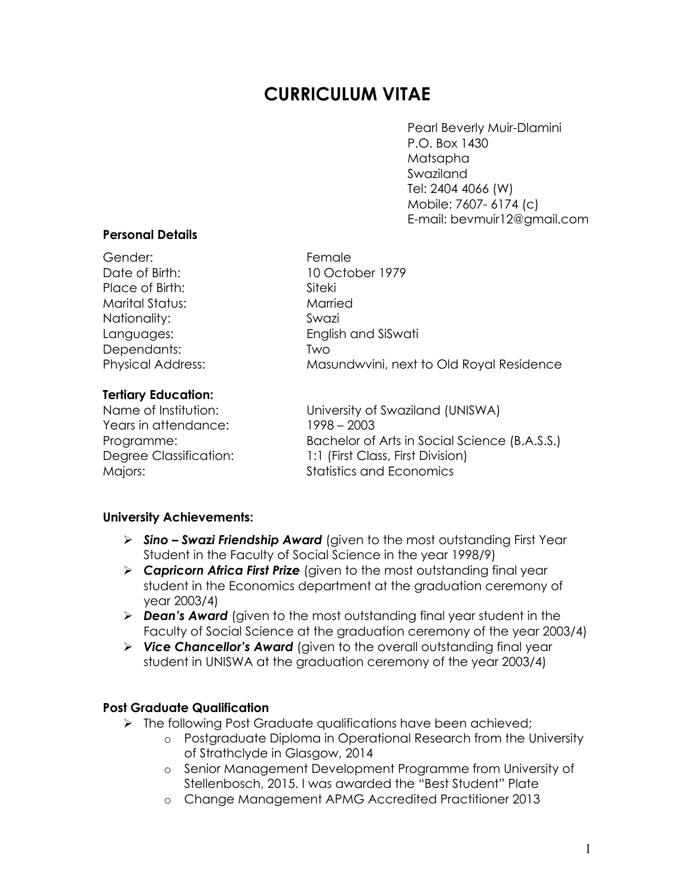# **CURRICULUM VITAE**

Pearl Beverly Muir-Dlamini P.O. Box 1430 Matsapha Swaziland Tel: 2404 4066 (W) Mobile: 7607- 6174 (c) E-mail: bevmuir12@gmail.com

### **Personal Details**

| Gender:                  | Female                                   |
|--------------------------|------------------------------------------|
| Date of Birth:           | 10 October 1979                          |
| Place of Birth:          | Siteki                                   |
| <b>Marital Status:</b>   | Married                                  |
| Nationality:             | Swazi                                    |
| Languages:               | English and SiSwati                      |
| Dependants:              | Two                                      |
| <b>Physical Address:</b> | Masundwvini, next to Old Royal Residence |
| Tertiary Education:      |                                          |

### **Tertiary Education:**

Years in attendance: 1998 – 2003

Name of Institution: University of Swaziland (UNISWA) Programme: Bachelor of Arts in Social Science (B.A.S.S.) Degree Classification: 1:1 (First Class, First Division) Majors: **Manual According Material Statistics and Economics** 

## **University Achievements:**

- Ø *Sino – Swazi Friendship Award* (given to the most outstanding First Year Student in the Faculty of Social Science in the year 1998/9)
- Ø *Capricorn Africa First Prize* (given to the most outstanding final year student in the Economics department at the graduation ceremony of year 2003/4)
- Ø *Dean's Award* (given to the most outstanding final year student in the Faculty of Social Science at the graduation ceremony of the year 2003/4)
- Ø *Vice Chancellor's Award* (given to the overall outstanding final year student in UNISWA at the graduation ceremony of the year 2003/4)

## **Post Graduate Qualification**

- $\triangleright$  The following Post Graduate qualifications have been achieved;
	- o Postgraduate Diploma in Operational Research from the University of Strathclyde in Glasgow, 2014
	- o Senior Management Development Programme from University of Stellenbosch, 2015. I was awarded the "Best Student" Plate
	- o Change Management APMG Accredited Practitioner 2013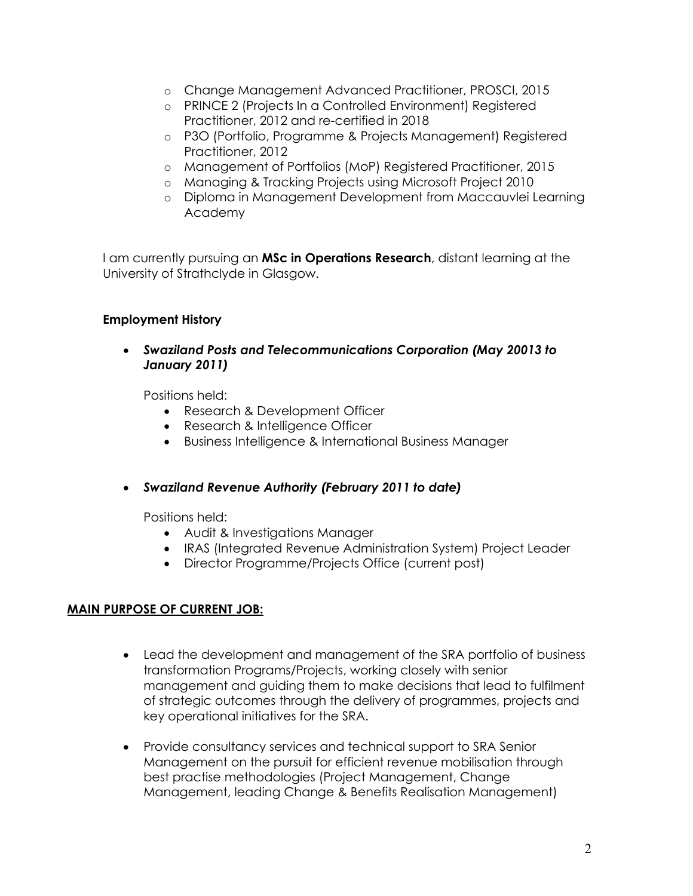- o Change Management Advanced Practitioner, PROSCI, 2015
- o PRINCE 2 (Projects In a Controlled Environment) Registered Practitioner, 2012 and re-certified in 2018
- o P3O (Portfolio, Programme & Projects Management) Registered Practitioner, 2012
- o Management of Portfolios (MoP) Registered Practitioner, 2015
- o Managing & Tracking Projects using Microsoft Project 2010
- o Diploma in Management Development from Maccauvlei Learning Academy

I am currently pursuing an **MSc in Operations Research**, distant learning at the University of Strathclyde in Glasgow.

## **Employment History**

• *Swaziland Posts and Telecommunications Corporation (May 20013 to January 2011)*

Positions held:

- Research & Development Officer
- Research & Intelligence Officer
- Business Intelligence & International Business Manager
- *Swaziland Revenue Authority (February 2011 to date)*

Positions held:

- Audit & Investigations Manager
- IRAS (Integrated Revenue Administration System) Project Leader
- Director Programme/Projects Office (current post)

## **MAIN PURPOSE OF CURRENT JOB:**

- Lead the development and management of the SRA portfolio of business transformation Programs/Projects, working closely with senior management and guiding them to make decisions that lead to fulfilment of strategic outcomes through the delivery of programmes, projects and key operational initiatives for the SRA.
- Provide consultancy services and technical support to SRA Senior Management on the pursuit for efficient revenue mobilisation through best practise methodologies (Project Management, Change Management, leading Change & Benefits Realisation Management)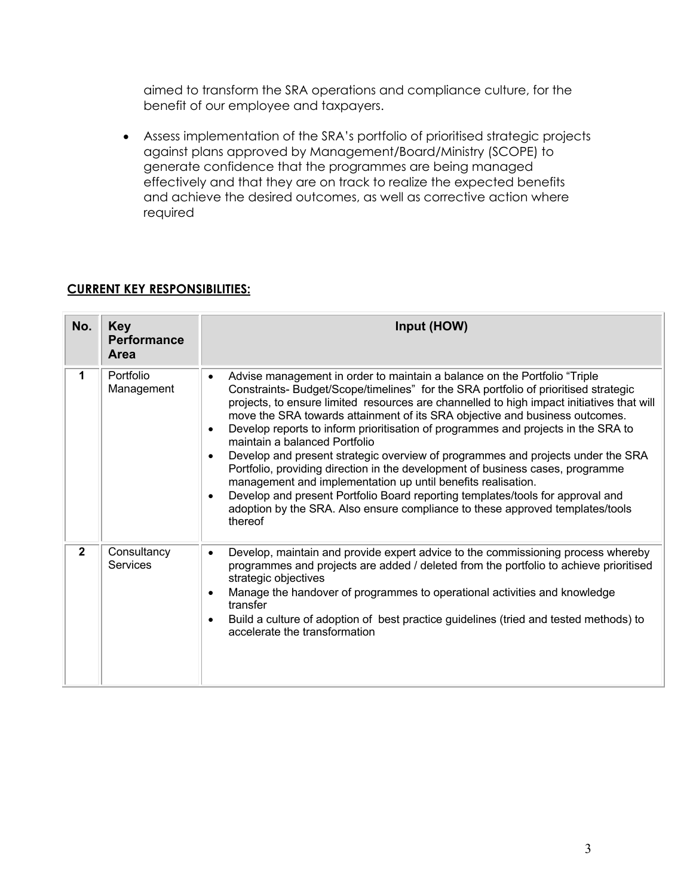aimed to transform the SRA operations and compliance culture, for the benefit of our employee and taxpayers.

• Assess implementation of the SRA's portfolio of prioritised strategic projects against plans approved by Management/Board/Ministry (SCOPE) to generate confidence that the programmes are being managed effectively and that they are on track to realize the expected benefits and achieve the desired outcomes, as well as corrective action where required

# **CURRENT KEY RESPONSIBILITIES:**

| No.          | <b>Key</b><br><b>Performance</b><br>Area | Input (HOW)                                                                                                                                                                                                                                                                                                                                                                                                                                                                                                                                                                                                                                                                                                                                                                                                                                                                                                                               |
|--------------|------------------------------------------|-------------------------------------------------------------------------------------------------------------------------------------------------------------------------------------------------------------------------------------------------------------------------------------------------------------------------------------------------------------------------------------------------------------------------------------------------------------------------------------------------------------------------------------------------------------------------------------------------------------------------------------------------------------------------------------------------------------------------------------------------------------------------------------------------------------------------------------------------------------------------------------------------------------------------------------------|
| 1            | Portfolio<br>Management                  | Advise management in order to maintain a balance on the Portfolio "Triple<br>$\bullet$<br>Constraints- Budget/Scope/timelines" for the SRA portfolio of prioritised strategic<br>projects, to ensure limited resources are channelled to high impact initiatives that will<br>move the SRA towards attainment of its SRA objective and business outcomes.<br>Develop reports to inform prioritisation of programmes and projects in the SRA to<br>$\bullet$<br>maintain a balanced Portfolio<br>Develop and present strategic overview of programmes and projects under the SRA<br>$\bullet$<br>Portfolio, providing direction in the development of business cases, programme<br>management and implementation up until benefits realisation.<br>Develop and present Portfolio Board reporting templates/tools for approval and<br>$\bullet$<br>adoption by the SRA. Also ensure compliance to these approved templates/tools<br>thereof |
| $\mathbf{2}$ | Consultancy<br>Services                  | Develop, maintain and provide expert advice to the commissioning process whereby<br>$\bullet$<br>programmes and projects are added / deleted from the portfolio to achieve prioritised<br>strategic objectives<br>Manage the handover of programmes to operational activities and knowledge<br>$\bullet$<br>transfer<br>Build a culture of adoption of best practice guidelines (tried and tested methods) to<br>$\bullet$<br>accelerate the transformation                                                                                                                                                                                                                                                                                                                                                                                                                                                                               |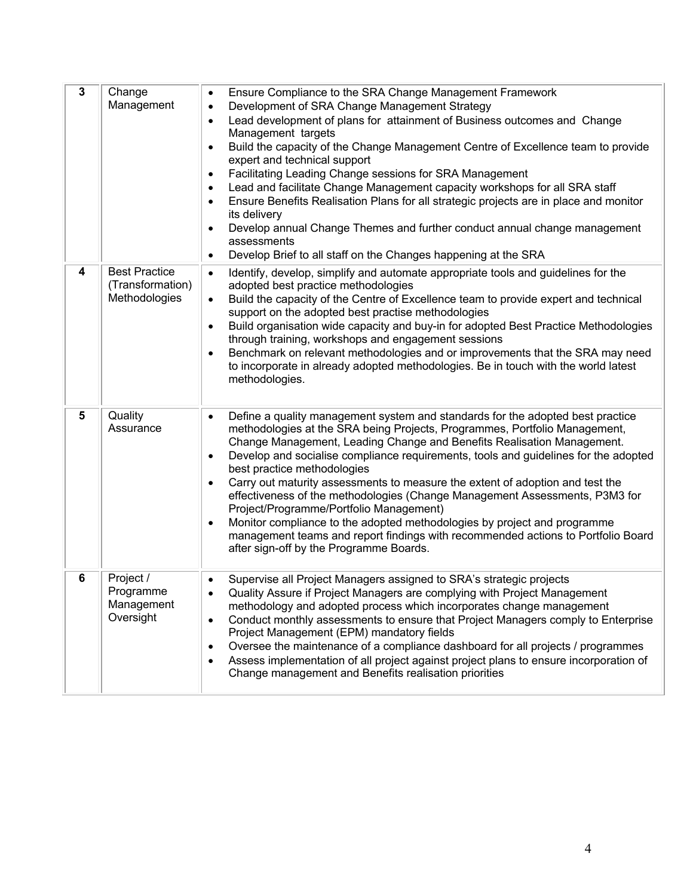| $\mathbf{3}$ | Change<br>Management                                      | Ensure Compliance to the SRA Change Management Framework<br>$\bullet$<br>Development of SRA Change Management Strategy<br>$\bullet$<br>Lead development of plans for attainment of Business outcomes and Change<br>$\bullet$<br>Management targets<br>Build the capacity of the Change Management Centre of Excellence team to provide<br>$\bullet$<br>expert and technical support<br>Facilitating Leading Change sessions for SRA Management<br>$\bullet$<br>Lead and facilitate Change Management capacity workshops for all SRA staff<br>$\bullet$<br>Ensure Benefits Realisation Plans for all strategic projects are in place and monitor<br>$\bullet$<br>its delivery<br>Develop annual Change Themes and further conduct annual change management<br>$\bullet$<br>assessments<br>Develop Brief to all staff on the Changes happening at the SRA<br>$\bullet$ |
|--------------|-----------------------------------------------------------|----------------------------------------------------------------------------------------------------------------------------------------------------------------------------------------------------------------------------------------------------------------------------------------------------------------------------------------------------------------------------------------------------------------------------------------------------------------------------------------------------------------------------------------------------------------------------------------------------------------------------------------------------------------------------------------------------------------------------------------------------------------------------------------------------------------------------------------------------------------------|
| 4            | <b>Best Practice</b><br>(Transformation)<br>Methodologies | Identify, develop, simplify and automate appropriate tools and guidelines for the<br>$\bullet$<br>adopted best practice methodologies<br>Build the capacity of the Centre of Excellence team to provide expert and technical<br>$\bullet$<br>support on the adopted best practise methodologies<br>Build organisation wide capacity and buy-in for adopted Best Practice Methodologies<br>٠<br>through training, workshops and engagement sessions<br>Benchmark on relevant methodologies and or improvements that the SRA may need<br>$\bullet$<br>to incorporate in already adopted methodologies. Be in touch with the world latest<br>methodologies.                                                                                                                                                                                                             |
| 5            | Quality<br>Assurance                                      | Define a quality management system and standards for the adopted best practice<br>$\bullet$<br>methodologies at the SRA being Projects, Programmes, Portfolio Management,<br>Change Management, Leading Change and Benefits Realisation Management.<br>Develop and socialise compliance requirements, tools and guidelines for the adopted<br>$\bullet$<br>best practice methodologies<br>Carry out maturity assessments to measure the extent of adoption and test the<br>$\bullet$<br>effectiveness of the methodologies (Change Management Assessments, P3M3 for<br>Project/Programme/Portfolio Management)<br>Monitor compliance to the adopted methodologies by project and programme<br>$\bullet$<br>management teams and report findings with recommended actions to Portfolio Board<br>after sign-off by the Programme Boards.                               |
| 6            | Project /<br>Programme<br>Management<br>Oversight         | Supervise all Project Managers assigned to SRA's strategic projects<br>$\bullet$<br>Quality Assure if Project Managers are complying with Project Management<br>٠<br>methodology and adopted process which incorporates change management<br>Conduct monthly assessments to ensure that Project Managers comply to Enterprise<br>$\bullet$<br>Project Management (EPM) mandatory fields<br>Oversee the maintenance of a compliance dashboard for all projects / programmes<br>$\bullet$<br>Assess implementation of all project against project plans to ensure incorporation of<br>٠<br>Change management and Benefits realisation priorities                                                                                                                                                                                                                       |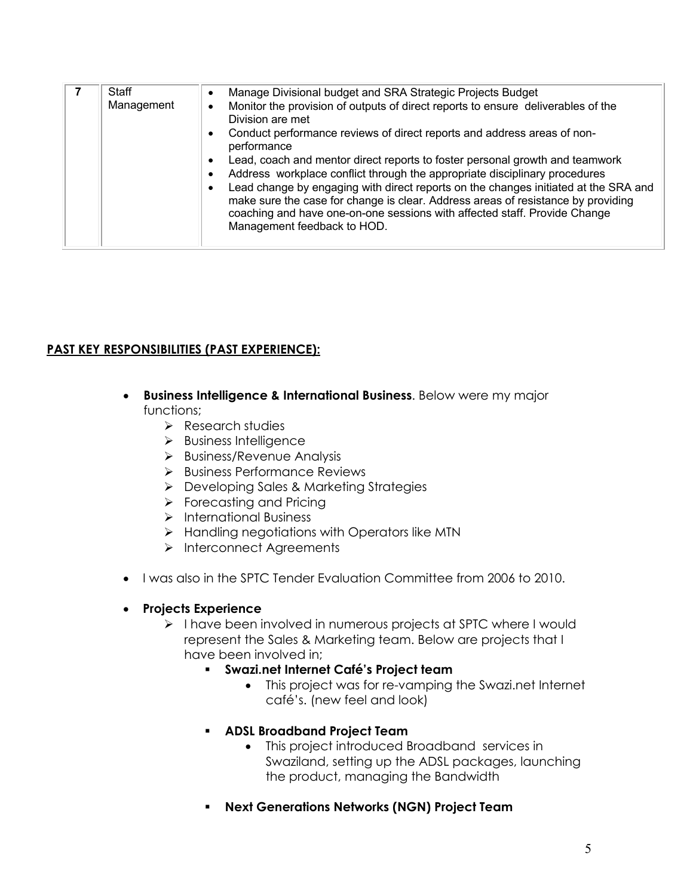| <b>Staff</b> | ٠<br>Management<br>٠<br>٠<br>٠ | Manage Divisional budget and SRA Strategic Projects Budget<br>Monitor the provision of outputs of direct reports to ensure deliverables of the<br>Division are met<br>Conduct performance reviews of direct reports and address areas of non-<br>performance<br>Lead, coach and mentor direct reports to foster personal growth and teamwork<br>Address workplace conflict through the appropriate disciplinary procedures<br>Lead change by engaging with direct reports on the changes initiated at the SRA and<br>make sure the case for change is clear. Address areas of resistance by providing<br>coaching and have one-on-one sessions with affected staff. Provide Change<br>Management feedback to HOD. |
|--------------|--------------------------------|-------------------------------------------------------------------------------------------------------------------------------------------------------------------------------------------------------------------------------------------------------------------------------------------------------------------------------------------------------------------------------------------------------------------------------------------------------------------------------------------------------------------------------------------------------------------------------------------------------------------------------------------------------------------------------------------------------------------|

# **PAST KEY RESPONSIBILITIES (PAST EXPERIENCE):**

- **Business Intelligence & International Business**. Below were my major functions;
	- $\triangleright$  Research studies
	- $\triangleright$  Business Intelligence
	- $\triangleright$  Business/Revenue Analysis
	- Ø Business Performance Reviews
	- Ø Developing Sales & Marketing Strategies
	- $\triangleright$  Forecasting and Pricing
	- Ø International Business
	- $\triangleright$  Handling negotiations with Operators like MTN
	- Ø Interconnect Agreements
- I was also in the SPTC Tender Evaluation Committee from 2006 to 2010.

## • **Projects Experience**

- Ø I have been involved in numerous projects at SPTC where I would represent the Sales & Marketing team. Below are projects that I have been involved in;
	- § **Swazi.net Internet Café's Project team**
		- This project was for re-vamping the Swazi.net Internet café's. (new feel and look)
	- § **ADSL Broadband Project Team**
		- This project introduced Broadband services in Swaziland, setting up the ADSL packages, launching the product, managing the Bandwidth
	- § **Next Generations Networks (NGN) Project Team**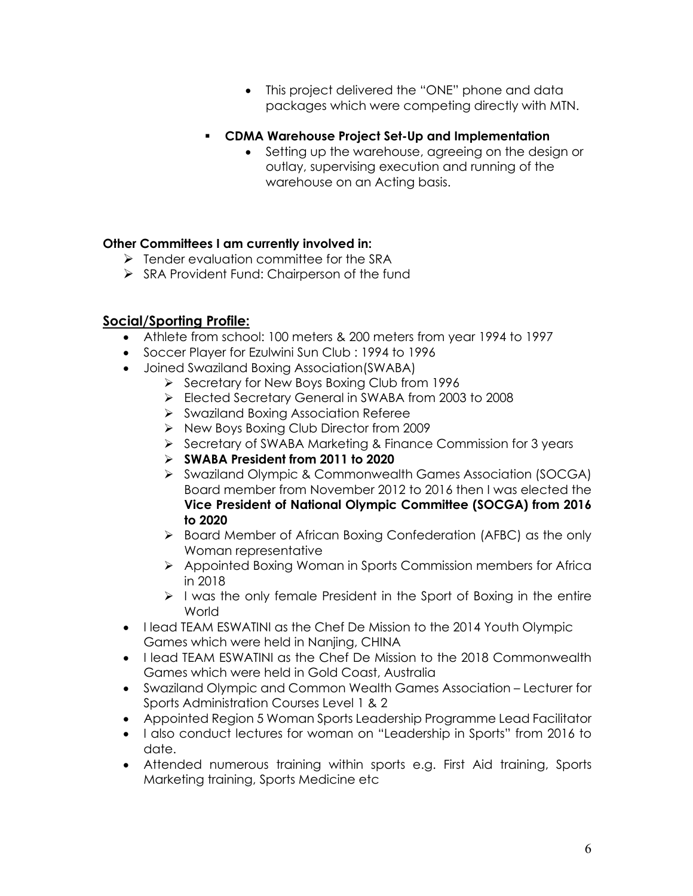- This project delivered the "ONE" phone and data packages which were competing directly with MTN.
- § **CDMA Warehouse Project Set-Up and Implementation**
	- Setting up the warehouse, agreeing on the design or outlay, supervising execution and running of the warehouse on an Acting basis.

# **Other Committees I am currently involved in:**

- $\triangleright$  Tender evaluation committee for the SRA
- Ø SRA Provident Fund: Chairperson of the fund

# **Social/Sporting Profile:**

- Athlete from school: 100 meters & 200 meters from year 1994 to 1997
- Soccer Player for Ezulwini Sun Club : 1994 to 1996
- Joined Swaziland Boxing Association(SWABA)
	- Ø Secretary for New Boys Boxing Club from 1996
		- Ø Elected Secretary General in SWABA from 2003 to 2008
		- Ø Swaziland Boxing Association Referee
		- Ø New Boys Boxing Club Director from 2009
		- Ø Secretary of SWABA Marketing & Finance Commission for 3 years
		- Ø **SWABA President from 2011 to 2020**
		- Ø Swaziland Olympic & Commonwealth Games Association (SOCGA) Board member from November 2012 to 2016 then I was elected the **Vice President of National Olympic Committee (SOCGA) from 2016 to 2020**
		- Ø Board Member of African Boxing Confederation (AFBC) as the only Woman representative
		- Ø Appointed Boxing Woman in Sports Commission members for Africa in 2018
		- $\triangleright$  I was the only female President in the Sport of Boxing in the entire World
- I lead TEAM ESWATINI as the Chef De Mission to the 2014 Youth Olympic Games which were held in Nanjing, CHINA
- I lead TEAM ESWATINI as the Chef De Mission to the 2018 Commonwealth Games which were held in Gold Coast, Australia
- Swaziland Olympic and Common Wealth Games Association Lecturer for Sports Administration Courses Level 1 & 2
- Appointed Region 5 Woman Sports Leadership Programme Lead Facilitator
- I also conduct lectures for woman on "Leadership in Sports" from 2016 to date.
- Attended numerous training within sports e.g. First Aid training, Sports Marketing training, Sports Medicine etc